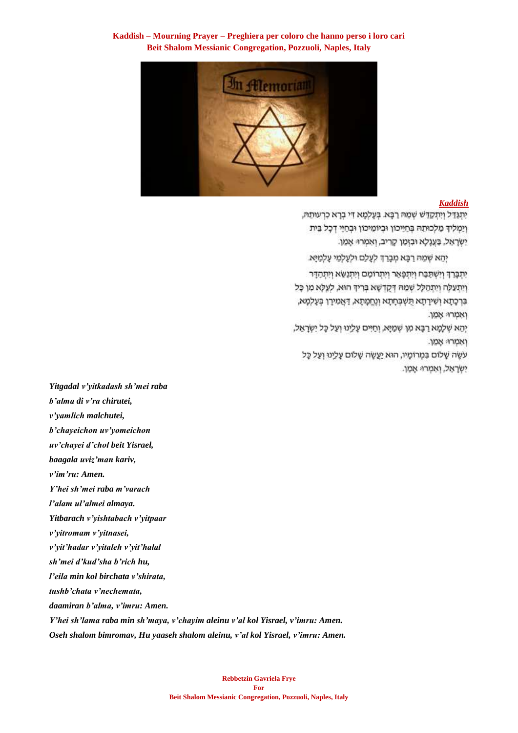# **Kaddish – Mourning Prayer – Preghiera per coloro che hanno perso i loro cari Beit Shalom Messianic Congregation, Pozzuoli, Naples, Italy**



#### *[Kaddish](https://soundcloud.com/user-114005263/mourners-kaddish-prayer-of-mourning-la-preghiera-per-la-coloro-che-hanno-perso-i-loro-cari)*

יִתְגַדֵּל וְיִתְקָדַשׁ שְׁמֵהּ רַבָּא. בְּעֲלְמָא דִי בְרָא כְרְעוּתָהּ, וַיַמְלִיךְ מַלְכוּתֶהּ בְּחַיֵּיכוֹן וּבְיוֹמֵיכוֹן וּבְחַיֵּי דְכָל בֵּית יִשְׂרָאֵל, בַּעֲנֶלָא וּבִזְמַן קָרִיב, וְאִמְרוּ אָמֵן.

יְהֵא שְׁמַחּ רַבָּא מִבָּרַךְ לְעָלַם וּלְעָלְמֵי עָלְמַיָּא.

יתכרד וישתכח ויתפאר ויתרומם ויתנשא ויתהדר וַיִּתַעֲלָה וַיִּתְהַלָּל שְׁמַהּ דְּקֵדְשָׁא בְּרִידְ הוּא, לְעֵלָא מִן כָּל בּרְכָתָא וְשִׁירַתָא תַּשְׁבְּחָתָא וְנֵחֲמָתָא, דַאֲמִירָן בִּעֲלִמָּא, וְאָמְרוּ אָמֶן.

יְהֵא שְׁלָמָא רַבָּא מִן שְׁמַיָּא, וְחַיִּים עָלֵינוּ וְעַל כָּל יִשְׂרָאֵל, ואמרו: אמן.

עֹשֶׂה שַׁלוֹם בִּמְרוֹמָיו, הוּא יַעֲשָׂה שָׁלוֹם עָלֵינוּ וְעַל כָּל ישראל, ואמרו: אמן.

*Yitgadal v'yitkadash sh'mei raba b'alma di v'ra chirutei, v'yamlich malchutei, b'chayeichon uv'yomeichon uv'chayei d'chol beit Yisrael, baagala uviz'man kariv, v'im'ru: Amen. Y'hei sh'mei raba m'varach l'alam ul'almei almaya. Yitbarach v'yishtabach v'yitpaar v'yitromam v'yitnasei, v'yit'hadar v'yitaleh v'yit'halal sh'mei d'kud'sha b'rich hu, l'eila min kol birchata v'shirata, tushb'chata v'nechemata, daamiran b'alma, v'imru: Amen. Y'hei sh'lama raba min sh'maya, v'chayim aleinu v'al kol Yisrael, v'imru: Amen. Oseh shalom bimromav, Hu yaaseh shalom aleinu, v'al kol Yisrael, v'imru: Amen.*